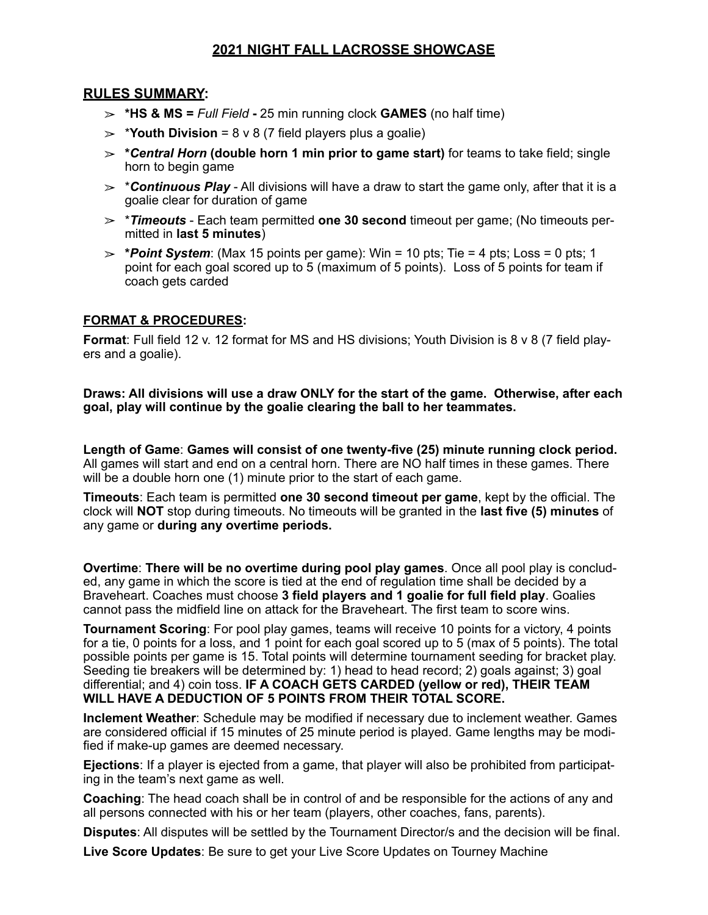### **2021 NIGHT FALL LACROSSE SHOWCASE**

### **RULES SUMMARY:**

- $\ge$  \*HS & MS = *Full Field* 25 min running clock **GAMES** (no half time)
- $\geq$  **\*Youth Division** = 8 v 8 (7 field players plus a goalie)
- ! **\****Central Horn* **(double horn 1 min prior to game start)** for teams to take field; single horn to begin game
- $\geq$  **\*Continuous Play** All divisions will have a draw to start the game only, after that it is a goalie clear for duration of game
- ! \**Timeouts* Each team permitted **one 30 second** timeout per game; (No timeouts permitted in **last 5 minutes**)
- ! **\****Point System*: (Max 15 points per game): Win = 10 pts; Tie = 4 pts; Loss = 0 pts; 1 point for each goal scored up to 5 (maximum of 5 points). Loss of 5 points for team if coach gets carded

### **FORMAT & PROCEDURES:**

**Format**: Full field 12 v. 12 format for MS and HS divisions; Youth Division is 8 v 8 (7 field players and a goalie).

**Draws: All divisions will use a draw ONLY for the start of the game. Otherwise, after each goal, play will continue by the goalie clearing the ball to her teammates.**

**Length of Game**: **Games will consist of one twenty-five (25) minute running clock period.** All games will start and end on a central horn. There are NO half times in these games. There will be a double horn one (1) minute prior to the start of each game.

**Timeouts**: Each team is permitted **one 30 second timeout per game**, kept by the official. The clock will **NOT** stop during timeouts. No timeouts will be granted in the **last five (5) minutes** of any game or **during any overtime periods.** 

**Overtime**: **There will be no overtime during pool play games**. Once all pool play is concluded, any game in which the score is tied at the end of regulation time shall be decided by a Braveheart. Coaches must choose **3 field players and 1 goalie for full field play**. Goalies cannot pass the midfield line on attack for the Braveheart. The first team to score wins.

**Tournament Scoring**: For pool play games, teams will receive 10 points for a victory, 4 points for a tie, 0 points for a loss, and 1 point for each goal scored up to 5 (max of 5 points). The total possible points per game is 15. Total points will determine tournament seeding for bracket play. Seeding tie breakers will be determined by: 1) head to head record; 2) goals against; 3) goal differential; and 4) coin toss. **IF A COACH GETS CARDED (yellow or red), THEIR TEAM WILL HAVE A DEDUCTION OF 5 POINTS FROM THEIR TOTAL SCORE.** 

**Inclement Weather**: Schedule may be modified if necessary due to inclement weather. Games are considered official if 15 minutes of 25 minute period is played. Game lengths may be modified if make-up games are deemed necessary.

**Ejections**: If a player is ejected from a game, that player will also be prohibited from participating in the team's next game as well.

**Coaching**: The head coach shall be in control of and be responsible for the actions of any and all persons connected with his or her team (players, other coaches, fans, parents).

**Disputes**: All disputes will be settled by the Tournament Director/s and the decision will be final.

**Live Score Updates**: Be sure to get your Live Score Updates on Tourney Machine